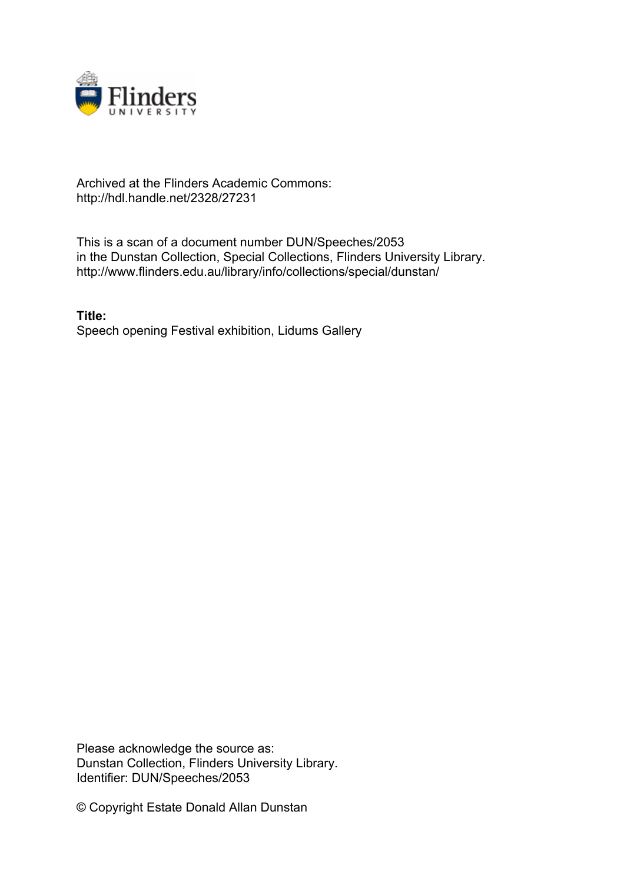

## Archived at the Flinders Academic Commons: http://hdl.handle.net/2328/27231

This is a scan of a document number DUN/Speeches/2053 in the Dunstan Collection, Special Collections, Flinders University Library. http://www.flinders.edu.au/library/info/collections/special/dunstan/

**Title:** Speech opening Festival exhibition, Lidums Gallery

Please acknowledge the source as: Dunstan Collection, Flinders University Library. Identifier: DUN/Speeches/2053

© Copyright Estate Donald Allan Dunstan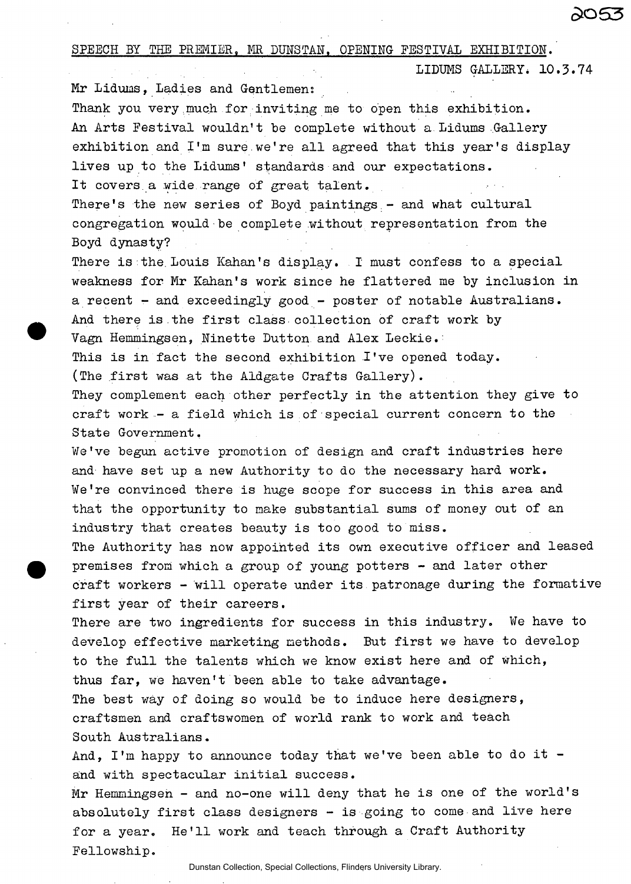SPEECH BY THE PREMIER, MR DUNSTAN. OPENING FESTIVAL EXHIBITION.

LIDUMS GALLERY. 10.3.74

Mr Lidums, Ladies and Gentlemen;

Thank you very much for inviting me to open this exhibition. An Arts Festival wouldn't be complete without a Lidums Gallery exhibition and I'm sure,we're all agreed that this year's display lives up to the Lidums' standards and our expectations. It covers a wide range of great talent.

There's the new series of Boyd paintings - and what cultural congregation would be complete without representation from the Boyd dynasty?

There is the Louis Kahan's display. I must confess to a special weakness for Mr Kahan's work since he flattered me by inclusion in a recent - and exceedingly good - poster of notable Australians. And there is the first class collection of craft work by Vagn Hemmingsen, Ninette Dutton and Alex Leckie.:

This is in fact the second exhibition I've opened today. (The first was at the Aldgate Grafts Gallery).

They complement each other perfectly in the attention they give to craft work - a field which is of special current concern to the State Government,

We've begun active promotion of design and craft industries here and have set up a new Authority to do the necessary hard work. We're convinced there is huge scope for success in this area and that the opportunity to make substantial sums of money out of an industry that creates beauty is too good to miss.

The Authority has now appointed its own executive officer and leased premises froni which a group of young potters - and later other craft workers - will operate under its patronage during the formative first year of their careers.

There are two ingredients for success in this industry. We have to develop effective marketing methods. But first we have to develop to the full the talents which we know exist here and of which, thus far, we haven't been able to take advantage.

The best way of doing so would be to induce here designers, craftsmen and craftswomen of world rank to work and teach South Australians.

And, I'm happy to announce today that we've been able to do it  $$ and with spectacular initial success.

Mr Hemmingsen - and no-one will deny that he is one of the world's absolutely first class designers - is going to come and live here for a year. He'll work and teach through a Craft Authority Fellowship.

Dunstan Collection, Special Collections, Flinders University Library.